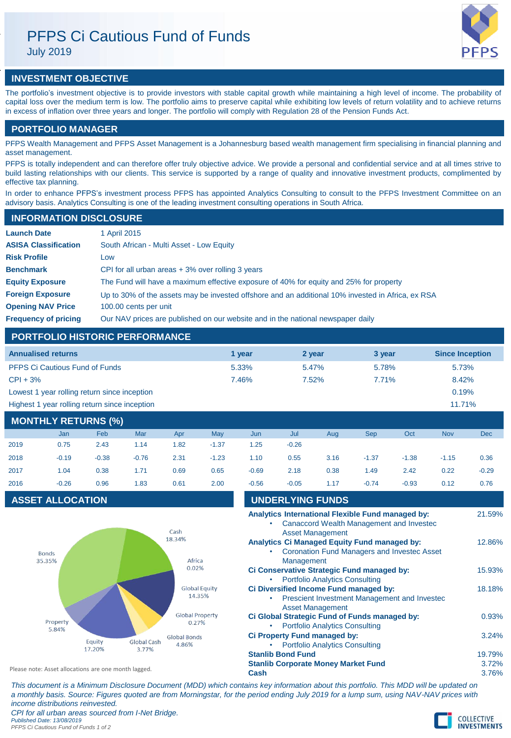# PFPS Ci Cautious Fund of Funds

July 2019



## **INVESTMENT OBJECTIVE**

The portfolio's investment objective is to provide investors with stable capital growth while maintaining a high level of income. The probability of capital loss over the medium term is low. The portfolio aims to preserve capital while exhibiting low levels of return volatility and to achieve returns in excess of inflation over three years and longer. The portfolio will comply with Regulation 28 of the Pension Funds Act.

## **PORTFOLIO MANAGER**

PFPS Wealth Management and PFPS Asset Management is a Johannesburg based wealth management firm specialising in financial planning and asset management.

PFPS is totally independent and can therefore offer truly objective advice. We provide a personal and confidential service and at all times strive to build lasting relationships with our clients. This service is supported by a range of quality and innovative investment products, complimented by effective tax planning.

In order to enhance PFPS's investment process PFPS has appointed Analytics Consulting to consult to the PFPS Investment Committee on an advisory basis. Analytics Consulting is one of the leading investment consulting operations in South Africa.

## **INFORMATION DISCLOSURE**

| <b>Launch Date</b>          | 1 April 2015                                                                                      |
|-----------------------------|---------------------------------------------------------------------------------------------------|
| <b>ASISA Classification</b> | South African - Multi Asset - Low Equity                                                          |
| <b>Risk Profile</b>         | Low                                                                                               |
| <b>Benchmark</b>            | CPI for all urban areas $+3\%$ over rolling 3 years                                               |
| <b>Equity Exposure</b>      | The Fund will have a maximum effective exposure of 40% for equity and 25% for property            |
| <b>Foreign Exposure</b>     | Up to 30% of the assets may be invested offshore and an additional 10% invested in Africa, ex RSA |
| <b>Opening NAV Price</b>    | 100.00 cents per unit                                                                             |
| <b>Frequency of pricing</b> | Our NAV prices are published on our website and in the national newspaper daily                   |

## **PORTFOLIO HISTORIC PERFORMANCE**

| <b>Annualised returns</b>                     | 1 vear | 2 year   | 3 year | <b>Since Inception</b> |
|-----------------------------------------------|--------|----------|--------|------------------------|
| <b>PFPS Ci Cautious Fund of Funds</b>         | 5.33%  | $5.47\%$ | 5.78%  | 5.73%                  |
| $CPI + 3%$                                    | 7.46%  | $7.52\%$ | 7.71%  | 8.42%                  |
| Lowest 1 year rolling return since inception  |        |          |        | 0.19%                  |
| Highest 1 year rolling return since inception |        |          |        | 11.71%                 |

## **MONTHLY RETURNS (%)**

|      | Jan     | Feb     | Mar     | Apr  | May     | Jun     | Jul     | Aug  | <b>Sep</b> | Oct     | <b>Nov</b> | Dec     |
|------|---------|---------|---------|------|---------|---------|---------|------|------------|---------|------------|---------|
| 2019 | 0.75    | 2.43    | 1.14    | 1.82 | $-1.37$ | 1.25    | $-0.26$ |      |            |         |            |         |
| 2018 | $-0.19$ | $-0.38$ | $-0.76$ | 2.31 | $-1.23$ | 1.10    | 0.55    | 3.16 | $-1.37$    | $-1.38$ | $-1.15$    | 0.36    |
| 2017 | 1.04    | 0.38    | 1.71    | 0.69 | 0.65    | $-0.69$ | 2.18    | 0.38 | 1.49       | 2.42    | 0.22       | $-0.29$ |
| 2016 | $-0.26$ | 0.96    | 1.83    | 0.61 | 2.00    | $-0.56$ | $-0.05$ | 1.17 | $-0.74$    | $-0.93$ | 0.12       | 0.76    |

## **ASSET ALLOCATION**



| $-0.56$                                                                                                                     | $-0.05$                 | 1 1 7                                                                 | $-0.74$ | $-0.93$                                            | 0.12 | 0.76            |
|-----------------------------------------------------------------------------------------------------------------------------|-------------------------|-----------------------------------------------------------------------|---------|----------------------------------------------------|------|-----------------|
|                                                                                                                             | <b>UNDERLYING FUNDS</b> |                                                                       |         |                                                    |      |                 |
| Analytics International Flexible Fund managed by:<br>Canaccord Wealth Management and Investec<br><b>Asset Management</b>    |                         |                                                                       |         |                                                    |      |                 |
|                                                                                                                             | Management              | Analytics Ci Managed Equity Fund managed by:                          |         | <b>Coronation Fund Managers and Investec Asset</b> |      | 12.86%          |
| Ci Conservative Strategic Fund managed by:<br><b>Portfolio Analytics Consulting</b>                                         |                         |                                                                       |         |                                                    |      | 15.93%          |
| Ci Diversified Income Fund managed by:<br>18.18%<br>Prescient Investment Management and Investec<br><b>Asset Management</b> |                         |                                                                       |         |                                                    |      |                 |
| Ci Global Strategic Fund of Funds managed by:<br><b>Portfolio Analytics Consulting</b>                                      |                         |                                                                       |         |                                                    |      | 0.93%           |
|                                                                                                                             |                         | Ci Property Fund managed by:<br><b>Portfolio Analytics Consulting</b> |         |                                                    |      | 3.24%           |
| <b>Stanlib Bond Fund</b><br><b>Stanlib Corporate Money Market Fund</b>                                                      |                         |                                                                       |         |                                                    |      | 19.79%<br>3.72% |
| Cash                                                                                                                        |                         |                                                                       |         |                                                    |      | 3.76%           |

*This document is a Minimum Disclosure Document (MDD) which contains key information about this portfolio. This MDD will be updated on a monthly basis. Source: Figures quoted are from Morningstar, for the period ending July 2019 for a lump sum, using NAV-NAV prices with income distributions reinvested.*

*CPI for all urban areas sourced from I-Net Bridge. Published Date: 13/08/2019 PFPS Ci Cautious Fund of Funds 1 of 2*

Please note: Asset allocations are one month lagged.